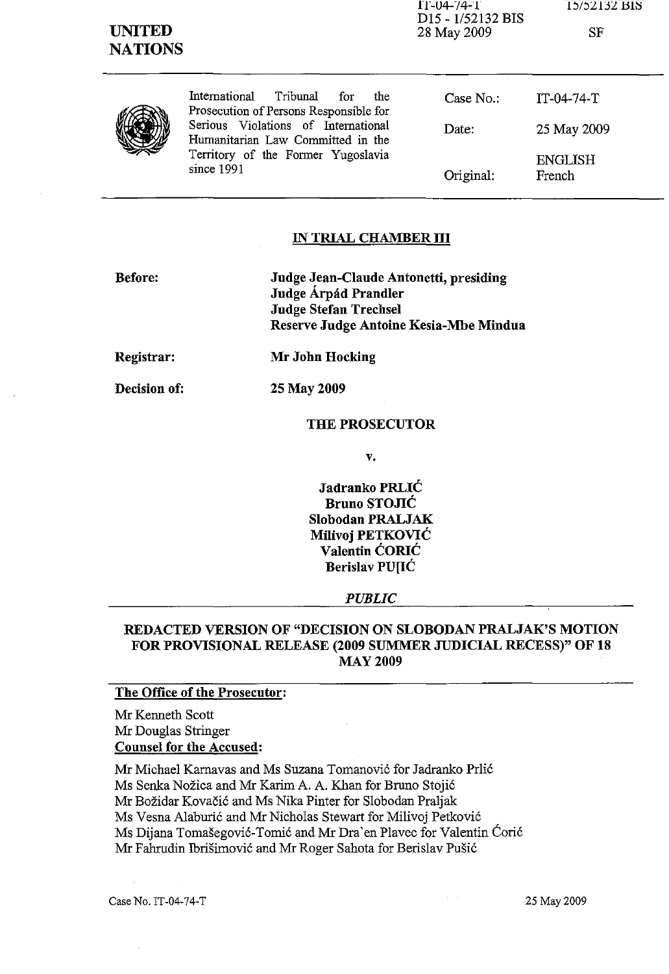SF

1T-04-74-T

25 May 2009

ENGLISH French

|  | International     |  |  |
|--|-------------------|--|--|
|  | Prosecution of Pe |  |  |
|  | Serious Violatio  |  |  |
|  | Humanitarian La   |  |  |
|  | Territory of the  |  |  |
|  | since 1991        |  |  |

| International Tribunal for             |  | the the | Case No.: |
|----------------------------------------|--|---------|-----------|
| Prosecution of Persons Responsible for |  |         |           |
| Serious Violations of International    |  |         | Date:     |
| Humanitarian Law Committed in the      |  |         |           |
| Territory of the Former Yugoslavia     |  |         |           |
| since 1991                             |  |         | Original: |

## IN TRIAL CHAMBER **III**

| <b>Before:</b> | Judge Jean-Claude Antonetti, presiding<br>Judge Árpád Prandler<br><b>Judge Stefan Trechsel</b><br>Reserve Judge Antoine Kesia-Mbe Mindua |
|----------------|------------------------------------------------------------------------------------------------------------------------------------------|
| Registrar:     | Mr John Hocking                                                                                                                          |
| Decision of:   | 25 May 2009                                                                                                                              |

## THE PROSECUTOR

v.

Jadranko PRLIC Bruno STOJIC Slobodan PRALJAK Milivoj PETKOVIC Valentin CORlC Berislav PU[IC

#### *PUBLIC*

### REDACTED VERSION OF "DECISION ON SLOBODAN PRALJAK'S MOTION FOR PROVISIONAL RELEASE (2009 SUMMER JUDICIAL RECESS)" OF 18 MAY 2009

#### The Office of the Prosecutor:

Mr Kenneth Scott Mr Douglas Stringer Counsel for the Accused:

Mr Michael Karnavas and Ms Suzana Tomanović for Jadranko Prlić Ms Senka Nozica and Mr Karim A. A. Khan for Bruno Stojic Mr Bozidar Kovacic and Ms Nika Pinter for Slobodan Praljak Ms Vesna Alaburic and Mr Nicholas Stewart for Milivoj Petkovic Ms Dijana Tomasegovic-Tomic and Mr Dra 'en Plavec for Valentin Coric Mr Fahrudin Ibrisimovic and Mr Roger Sahota for Berislav Pusic

Case No. IT-04-74-T 25 May 2009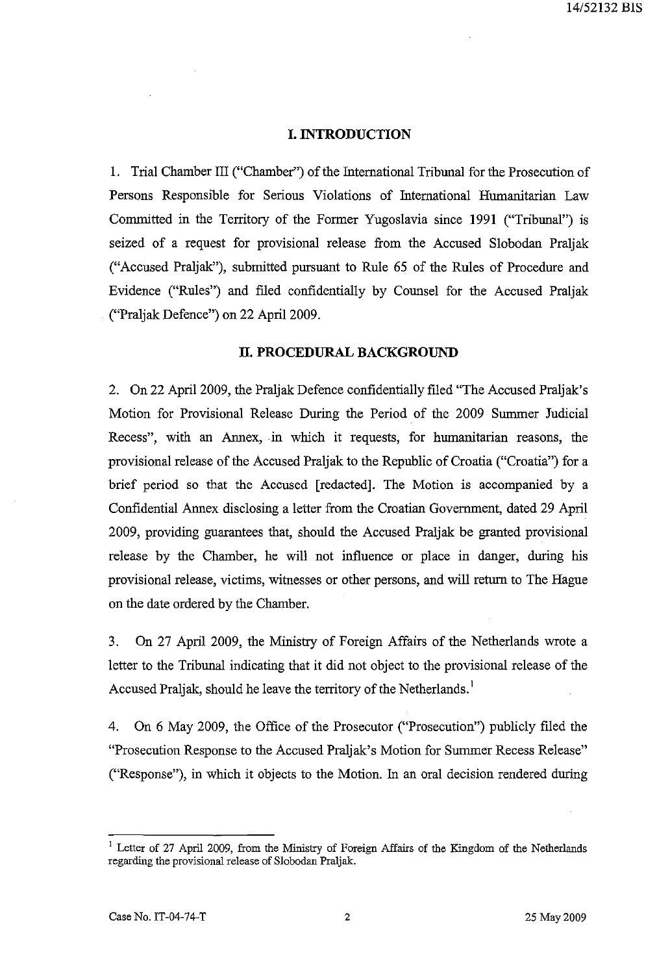#### **I. INTRODUCTION**

1. Trial Chamber III ("Chamber") of the International Tribunal for the Prosecution of Persons Responsible for Serious Violations of International Humanitarian Law Committed in the Territory of the Former Yugoslavia since 1991 ("Tribunal") is seized of a request for provisional release from the Accused Slobodan Praljak ("Accused Praljak"), submitted pursuant to Rule 65 of the Rules of Procedure and Evidence ("Ru1es") and filed confidentially by Counsel for the Accused Praljak ("Praljak Defence") on 22 April 2009.

#### **n. PROCEDURAL BACKGROUND**

2. On 22 April 2009, the Praljak Defence confidentially filed "The Accused Praljak's Motion for Provisional Release During the Period of the 2009 Summer Judicial Recess", with an Annex, in which it requests, for humanitarian reasons, the provisional release of the Accused Praljak to the Republic of Croatia ("Croatia") for a brief period so that the Accused [redacted]. The Motion is accompanied by a Confidential Annex disclosing a letter from the Croatian Government, dated 29 April 2009, providing guarantees that, shou1d the Accused Praljak be granted provisional release by the Chamber, he will not influence or place in danger, during his provisional release, victims, witnesses or other persons, and will return to The Hague on the date ordered by the Chamber.

3. On 27 April 2009, the Ministry of Foreign Affairs of the Netherlands wrote a letter to the Tribunal indicating that it did not object to the provisional release of the Accused Praljak, should he leave the territory of the Netherlands.<sup>1</sup>

4. On 6 May 2009, the Office of the Prosecutor ("Prosecution") publicly filed the "Prosecution Response to the Accused Praljak's Motion for Summer Recess Release" ("Response"), in which it objects to the Motion. In an oral decision rendered during

<sup>&</sup>lt;sup>1</sup> Letter of 27 April 2009, from the Ministry of Foreign Affairs of the Kingdom of the Netherlands regarding the provisional release of Slobodan Praljak.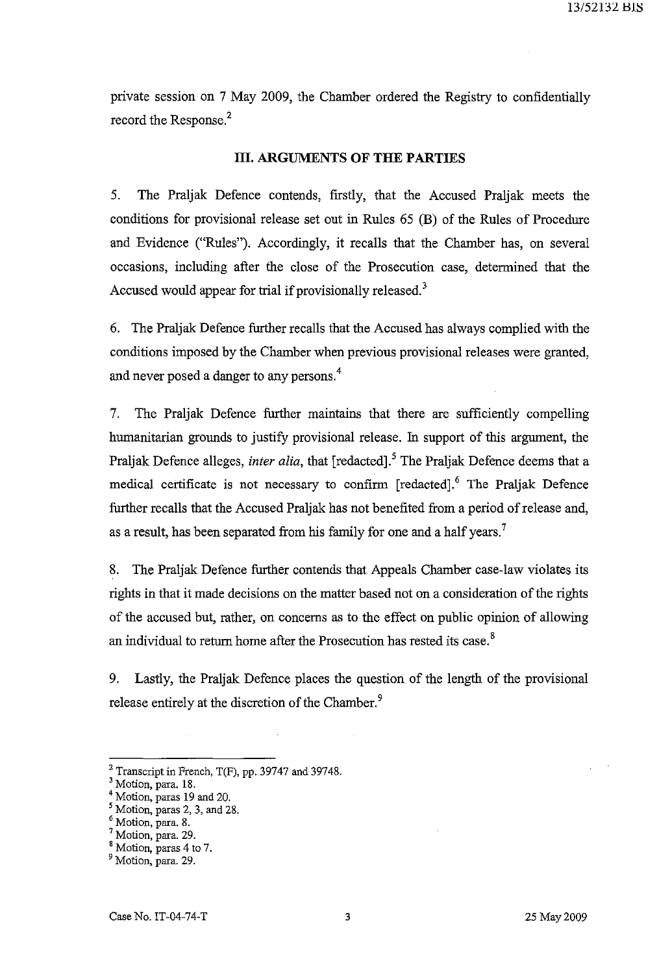private session on 7 May 2009, the Chamber ordered the Registry to confidentially record the Response.<sup>2</sup>

#### **III. ARGUMENTS OF THE PARTIES**

5. The Praljak Defence contends, firstly, that the Accused Praljak meets the conditions for provisional release set out in Rules 65 (B) of the Rules of Procedure and Evidence ("Rules"). Accordingly, it recalls that the Chamber has, on several occasions, including after the close of the Prosecution case, detennined that the Accused would appear for trial if provisionally released.<sup>3</sup>

6. The Praljak Defence further recalls that the Accused has always complied with the conditions imposed by the Chamber when previous provisional releases were granted, and never posed a danger to any persons. 4

7. The Praljak Defence further maintains that there are sufficiently compelling humanitarian grounds to justify provisional release. In support of this argument, the Praljak Defence alleges, *inter alia*, that [redacted].<sup>5</sup> The Praljak Defence deems that a medical certificate is not necessary to confirm [redacted].<sup>6</sup> The Praljak Defence further recalls that the Accused Praljak has not benefited from a period of release and, as a result, has been separated from his family for one and a half years.<sup>7</sup>

8. The Praljak Defence further contends that Appeals Chamber case-law violates its rights in that it made decisions on the matter based not on a consideration of the rights of the accused but, rather, on concerns as to the effect on public opinion of allowing an individual to return home after the Prosecution has rested its case.<sup>8</sup>

9. Lastly, the Praljak Defence places the question of the length of the provisional release entirely at the discretion of the Chamber.<sup>9</sup>

<sup>&</sup>lt;sup>2</sup> Transcript in French,  $T(F)$ , pp. 39747 and 39748.

<sup>&</sup>lt;sup>3</sup> Motion, para. 18.

<sup>4</sup> Motion, paras 19 and 20.

 $<sup>5</sup>$  Motion, paras 2, 3, and 28.</sup>

<sup>6</sup> Motion, para. 8.

Motion, para. 29.

<sup>&</sup>lt;sup>8</sup> Motion, paras 4 to 7.

<sup>&</sup>lt;sup>9</sup> Motion, para. 29.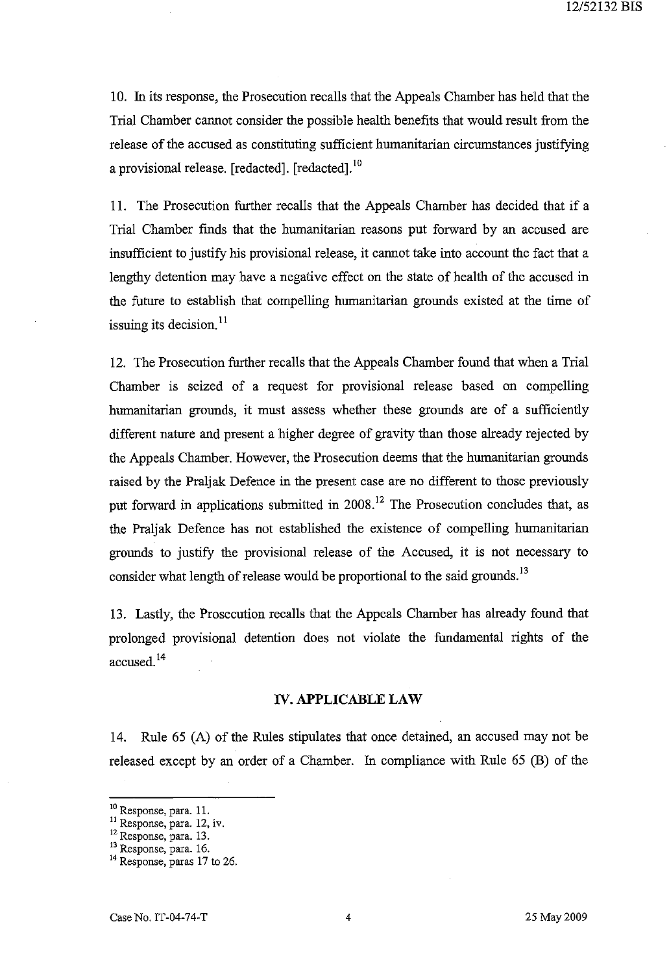10. In its response, the Prosecution recalls that the Appeals Chamber has held that the Trial Chamber cannot consider the possible health benefits that would result from the release of the accused as constituting sufficient humanitarian circumstances justifying a provisional release. [redacted]. [redacted].<sup>10</sup>

11. The Prosecution further recalls that the Appeals Chamber has decided that if a Trial Chamber fmds that the humanitarian reasons put forward by an accused are insufficient to justify his provisional release, it cannot take into account the fact that a lengthy detention may have a negative effect on the state of health of the accused in the future to establish that compelling humanitarian grounds existed at the time of issuing its decision.<sup>11</sup>

12. The Prosecution further recalls that the Appeals Chamber found that when a Trial Chamber is seized of a request for provisional release based on compelling humanitarian grounds, it must assess whether these grounds are of a sufficiently different nature and present a higher degree of gravity than those already rejected by the Appeals Chamber. However, the Prosecution deems that the humanitarian grounds raised by the Praljak Defence in the present case are no different to those previously put forward in applications submitted in 2008.<sup>12</sup> The Prosecution concludes that, as the Praljak Defence has not established the existence of compelling humanitarian grounds to justify the provisional release of the Accused, it is not necessary to consider what length of release would be proportional to the said grounds.<sup>13</sup>

13. Lastly, the Prosecution recalls that the Appeals Chamber has already found that prolonged provisional detention does not violate the fundamental rights of the accused. <sup>14</sup>

#### **IV. APPLICABLE** LAW

14. Rule 65 (A) of the Rules stipulates that once detained, an accused may not be released except by an order of a Chamber. In compliance with Rule 65 (B) of the

<sup>&</sup>lt;sup>10</sup> Response, para. 11.

<sup>&</sup>lt;sup>11</sup> Response, para. 12, iv.

<sup>12</sup> Response, para. 13.

<sup>&</sup>lt;sup>13</sup> Response, para. 16.

<sup>&</sup>lt;sup>14</sup> Response, paras 17 to 26.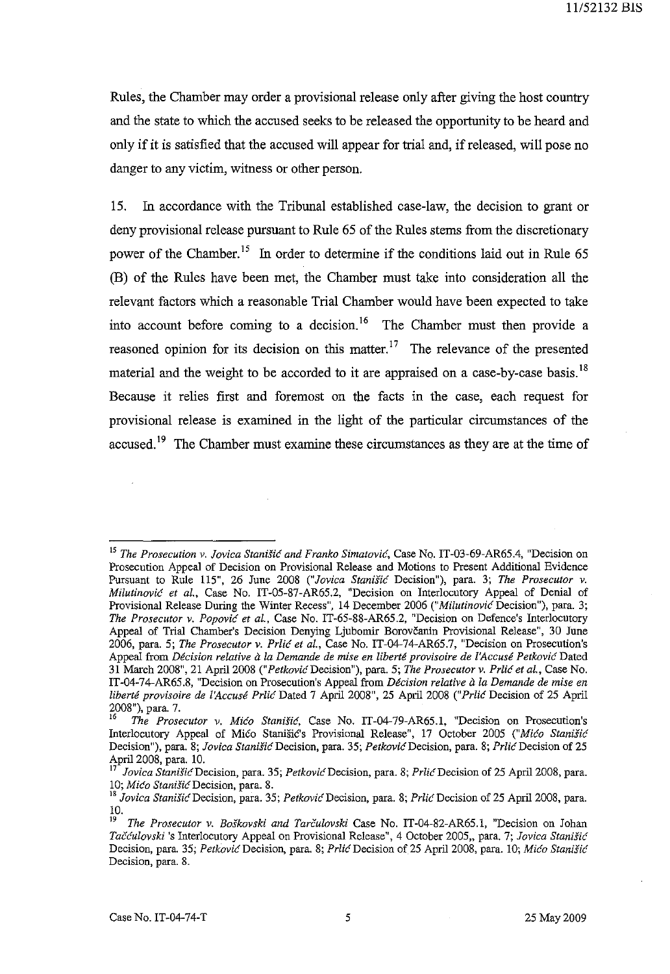Rules, the Chamber may order a provisional release only after giving the host country and the state to which the accused seeks to be released the opportunity to be heard and only if it is satisfied that the accused will appear for trial and, if released, will pose no danger to any victim, witness or other person.

15. In accordance with the Tribunal established case-law, the decision to grant or deny provisional release pursuant to Rule 65 of the Rules stems from the discretionary power of the Chamber.<sup>15</sup> In order to determine if the conditions laid out in Rule 65 (B) of the Rules have been met, the Chamber must take into consideration all the relevant factors which a reasonable Trial Chamber would have been expected to take into account before coming to a decision.<sup>16</sup> The Chamber must then provide a reasoned opinion for its decision on this matter.<sup>17</sup> The relevance of the presented material and the weight to be accorded to it are appraised on a case-by-case basis. <sup>18</sup> Because it relies first and foremost on the facts in the case, each request for provisional release is examined in the light of the particular circumstances of the accused.<sup>19</sup> The Chamber must examine these circumstances as they are at the time of

<sup>&</sup>lt;sup>15</sup> The Prosecution v. Jovica Stanišić and Franko Simatović, Case No. IT-03-69-AR65.4, "Decision on Prosecution Appeal of Decision on Provisional Release and Motions to Present Additional Evidence Pursuant to Rule 115", 26 June 2008 ("Jovica Stanišić Decision"), para. 3; The Prosecutor v. *Milutinovic et aI.,* Case No. IT-05-S7-AR65.2, "Decision on Interlocutory Appeal of Denial of Provisional Release During the Winter Recess", 14 December 2006 *("Milutinovic* Decision"), para. 3; *The Prosecutor v. Popovic et al.,* Case No. IT-65-SS-AR65.2, "Decision on Defence's Interlocutory Appeal of Trial Chamber's Decision Denying Ljubomir Borovcanin Provisional Release", 30 June 2006, para. 5; *The Prosecutor v. Prlic et al.,* Case No. IT-04-74-AR65.7, "Decision on Prosecution's Appeal from *Décision relative à la Demande de mise en liberté provisoire de l'Accusé Petković Dated* 31 March 200S", 21 April200S *("PetkovicDecision"),* para. 5; *The Prosecutor v. Prlic et al.,* Case No. IT-04-74-AR65.S, "Decision on Prosecution's Appeal from *Decision relative a la Demande de mise en liberte provisoire de l'Accuse Prlic* Dated 7 April 200S", 25 April 200S *("Prlic* Decision of 25 April  $2008$ "), para. 7.

*<sup>16</sup> The Prosecutor v. Mico Stanisic,* Case No. IT-04-79-AR65.1, "Decision on Prosecution's Interlocutory Appeal of Mico Stanisic's Provisional Release", 17 October 2005 *("Mico Stanisic*  Decision"), para. 8; *Jovica Stanišić* Decision, para. 35; Petković Decision, para. 8; Prlić Decision of 25 April 2008, para. 10.

<sup>17</sup>*Jovica* StanisicDecision, para. 35; *PetkovicDecision,* para. S; PrlicDecision of 25 April200S, para. *10; Mico StanisicDecision,* para. S.

<sup>&</sup>lt;sup>18</sup> Jovica Stanišić Decision, para. 35; Petković Decision, para. 8; Prlić Decision of 25 April 2008, para.  $\frac{10}{19}$ 

*<sup>19</sup> The Prosecutor v. Boskovski and Tarculovski* Case No. IT-04-S2-AR65.1, "Decision on Johan *Tacculovski* 's Interlocutory Appeal on Provisional Release", 4 October 2005" para. 7; *Jovica Stanisic*  Decision, para. 35; *Petkovic* Decision, para. S; *Prlic* Decision of25 April 200S, para. 10; *Mico Stanisic*  Decision, para. 8.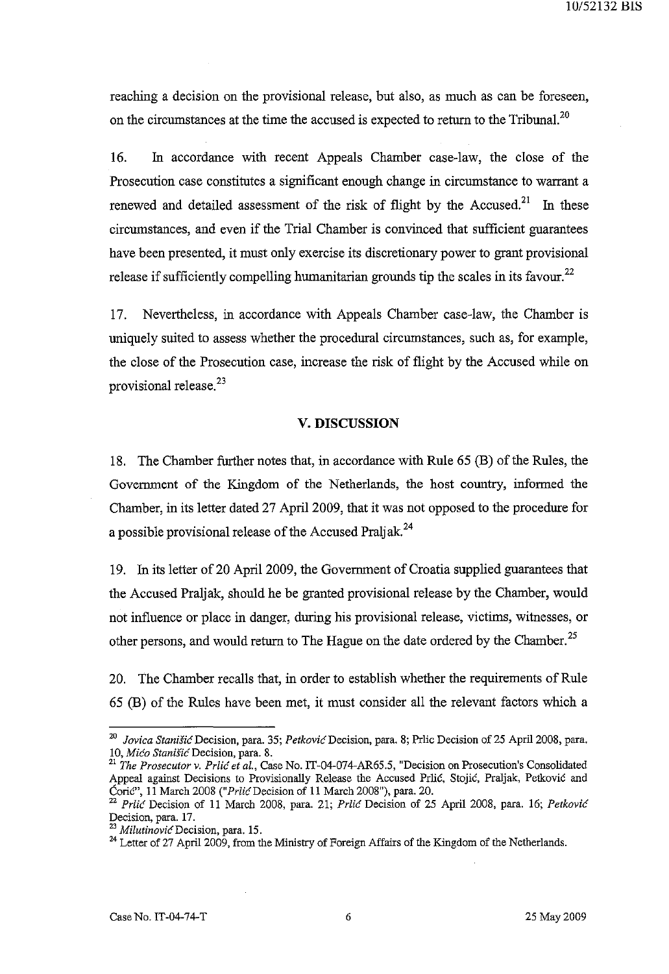reaching a decision on the provisional release, but also, as much as can be foreseen, on the circumstances at the time the accused is expected to return to the Tribunal.<sup>20</sup>

16. In accordance with recent Appeals Chamber case-law, the close of the Prosecution case constitutes a significant enough change in circumstance to warrant a renewed and detailed assessment of the risk of flight by the Accused.<sup>21</sup> In these circumstances, and even if the Trial Chamber is convinced that sufficient guarantees have been presented, it must only exercise its discretionary power to grant provisional release if sufficiently compelling humanitarian grounds tip the scales in its favour.<sup>22</sup>

17. Nevertheless, in accordance with Appeals Chamber case-law, the Chamber is uniquely suited to assess whether the procedural circumstances, such as, for example, the close of the Prosecution case, increase the risk of flight by the Accused while on provisional release.<sup>23</sup>

#### V. **DISCUSSION**

18. The Chamber further notes that, in accordance with Rule 65 (B) of the Rules, the Government of the Kingdom of the Netherlands, the host country, informed the Chamber, in its letter dated 27 April 2009, that it was not opposed to the procedure for a possible provisional release of the Accused Praljak.<sup>24</sup>

19. In its letter of 20 April 2009, the Government of Croatia supplied guarantees that the Accused Praljak, should he be granted provisional release by the Chamber, would not influence or place in danger, during his provisional release, victims, witnesses, or other persons, and would return to The Hague on the date ordered by the Chamber.<sup>25</sup>

20. The Chamber recalls that, in order to establish whether the requirements of Rule 65 (B) of the Rules have been met, it must consider all the relevant factors which a

*<sup>20</sup> Jovica StaniSh:* Decision, para. 35; *Petkovic* Decision, para. 8; Prlic Decision of 25 April 2008, para. 10, Mićo Stanišić Decision, para. 8.

<sup>&</sup>lt;sup>21</sup> The Prosecutor v. Prlic et al., Case No. IT-04-074-AR65.5, "Decision on Prosecution's Consolidated Appeal against Decisions to Provisionally Release the Accused Prlić, Stojić, Praljak, Petković and Corie", 11 March 2008 ("PrlicDecision of 11 March 2008"), para. 20.

<sup>22</sup>*Prlic* Decision of 11 March 2008, para. 21; *Prlic* Decision of 25 April 2008, para. 16; *Petkovic*  Decision, para. 17.

<sup>23</sup>*MilutinovicDecision,* para. 15.

<sup>&</sup>lt;sup>24</sup> Letter of 27 April 2009, from the Ministry of Foreign Affairs of the Kingdom of the Netherlands.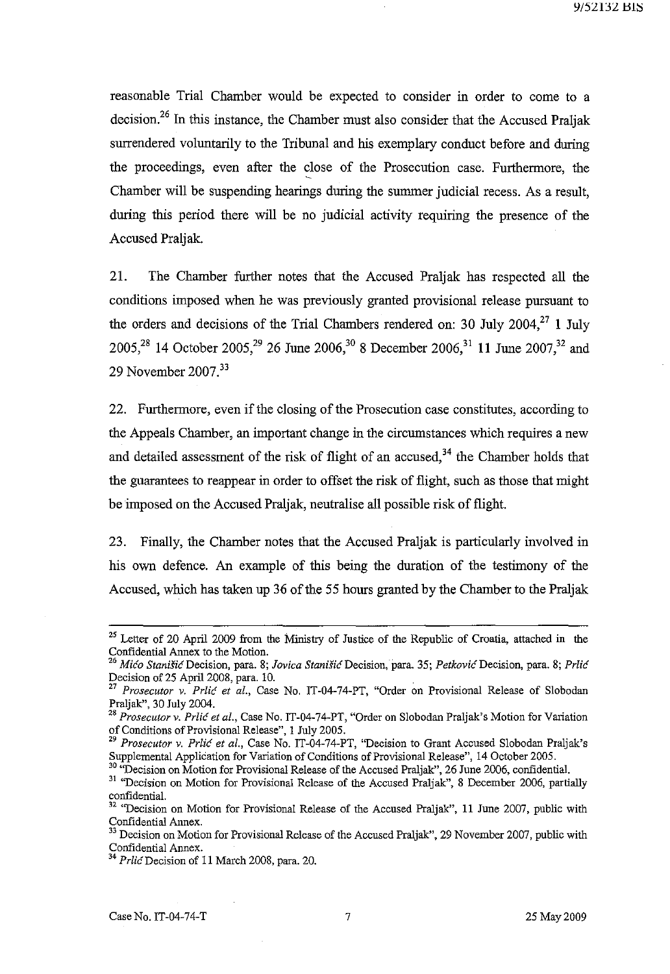reasonable Trial Chamber would be expected to consider in order to come to a decision.<sup>26</sup> In this instance, the Chamber must also consider that the Accused Praljak surrendered voluntarily to the Tribunal and his exemplary conduct before and during the proceedings, even after the close of the Prosecution case. Furthermore, the Chamber will be suspending hearings during the summer judicial recess. As a result, during this period there will be no judicial activity requiring the presence of the Accused Praljak.

21. The Chamber further notes that the Accused Praljak has respected all the conditions imposed when he was previously granted provisional release pursuant to the orders and decisions of the Trial Chambers rendered on: 30 July 2004,<sup>27</sup> 1 July 2005,<sup>28</sup> 14 October 2005,<sup>29</sup> 26 June 2006,<sup>30</sup> 8 December 2006,<sup>31</sup> 11 June 2007,<sup>32</sup> and 29 November 2007.<sup>33</sup>

22. Furthermore, even if the closing of the Prosecution case constitutes, according to the Appeals Chamber, an important change in the circumstances which requires a new and detailed assessment of the risk of flight of an accused,  $34$  the Chamber holds that the guarantees to reappear in order to offset the risk of flight, such as those that might be imposed on the Accused Praljak, neutralise all possible risk of flight.

23. Finally, the Chamber notes that the Accused Praljak is particularly involved in his own defence. An example of this being the duration of the testimony of the Accused, which has taken up 36 of the 55 hours granted by the Chamber to the Praljak

<sup>30</sup> "Decision on Motion for Provisional Release of the Accused Praljak", 26 June 2006, confidential.

<sup>&</sup>lt;sup>25</sup> Letter of 20 April 2009 from the Ministry of Justice of the Republic of Croatia, attached in the Confidential Annex to the Motion.

*<sup>26</sup> Mico StanisicDecision,* para. 8; *lovica StanisicDecision,* para. 35; *PetkovicDecision,* para. 8; *Prlic*  Decision of 25 April 2008, para. 10.

<sup>27</sup>*Prosecutor v. Prlic et aI.,* Case No. IT-04-74-PT, "Order on Provisional Release of Slobodan Praljak", 30 July 2004.

<sup>28</sup>*Prosecutor v. Prlic et al.,* Case No. IT-04-74-PT, "Order on Slobodan Praljak's Motion for Variation of Conditions of Provisional Release", I July 2005.

*<sup>29</sup> Prosecutor v. Prlic et al.,* Case No. IT-04-74-PT, "Decision to Grant Accused Slobodan Praljak's Supplemental Application for Variation of Conditions of Provisional Release", 14 October 2005.

<sup>&</sup>lt;sup>31</sup> "Decision on Motion for Provisional Release of the Accused Praljak", 8 December 2006, partially confidential.<br><sup>32</sup> "Decision on Motion for Provisional Release of the Accused Praljak", 11 June 2007, public with

Confidential Annex.

<sup>33</sup> Decision on Motion for Provisional Release of the Accused Praljak", 29 November 2007, public with Confidential Annex. <sup>34</sup>*PrlicDecision* of II March 2008, para. 20.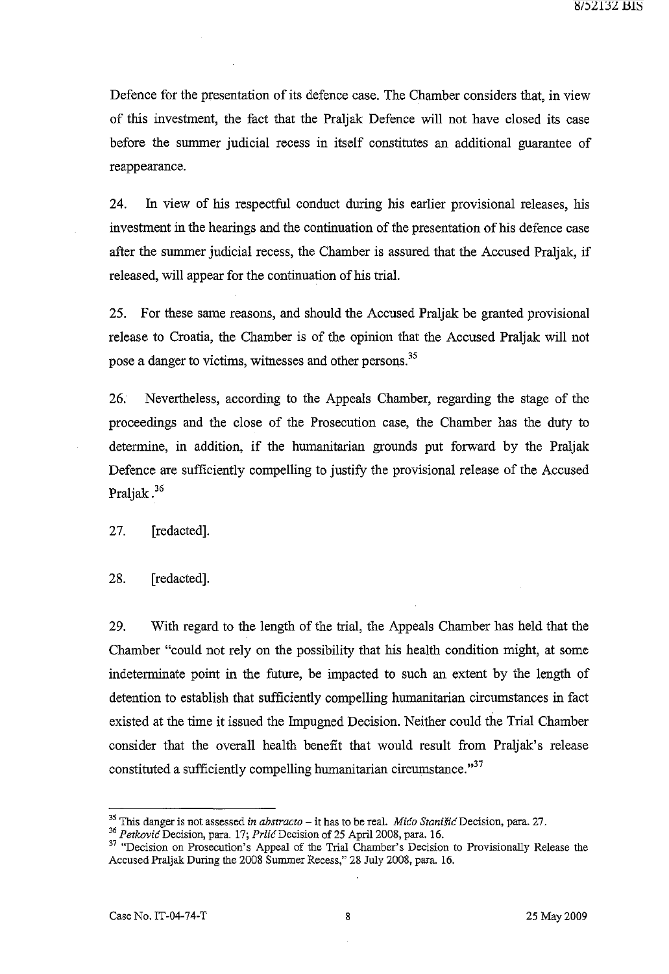Defence for the presentation of its defence case. The Chamber considers that, in view of this investment, the fact that the Praljak Defence will not have closed its case before the summer judicial recess in itself constitutes an additional guarantee of reappearance.

24. In view of his respectful conduct during his earlier provisional releases, his investment in the hearings and the continuation of the presentation of his defence case after the summer judicial recess, the Chamber is assured that the Accused Praljak, if released, will appear for the continuation of his trial.

25. For these same reasons, and should the Accused Praljak be granted provisional release to Croatia, the Chamber is of the opinion that the Accused Praljak will not pose a danger to victims, witnesses and other persons.<sup>35</sup>

26. Nevertheless, according to the Appeals Chamber, regarding the stage of the proceedings and the close of the Prosecution case, the Chamber has the duty to determine, in addition, if the humanitarian grounds put forward by the Praljak Defence are sufficiently compelling to justify the provisional release of the Accused Praljak.<sup>36</sup>

27. [redacted].

28. [redacted].

29. With regard to the length of the trial, the Appeals Chamber has held that the Chamber "could not rely on the possibility that his health condition might, at some indeterminate point in the future, be impacted to such an extent by the length of detention to establish that sufficiently compelling humanitarian circumstances in fact existed at the time it issued the Impugned Decision. Neither could the Trial Chamber consider that the overall health benefit that would result from Praljak's release constituted a sufficiently compelling humanitarian circumstance."<sup>37</sup>

<sup>35</sup>This danger is not assessed *in abstracto* - it has to be real. *Mico StaniSic* Decision, para. 27.

<sup>&</sup>lt;sup>36</sup> Petković Decision, para. 17; Prlić Decision of 25 April 2008, para. 16.

<sup>&</sup>lt;sup>37</sup> "Decision on Prosecution's Appeal of the Trial Chamber's Decision to Provisionally Release the Accused Praljak During the 2008 Summer Recess," 28 July 2008, para. 16.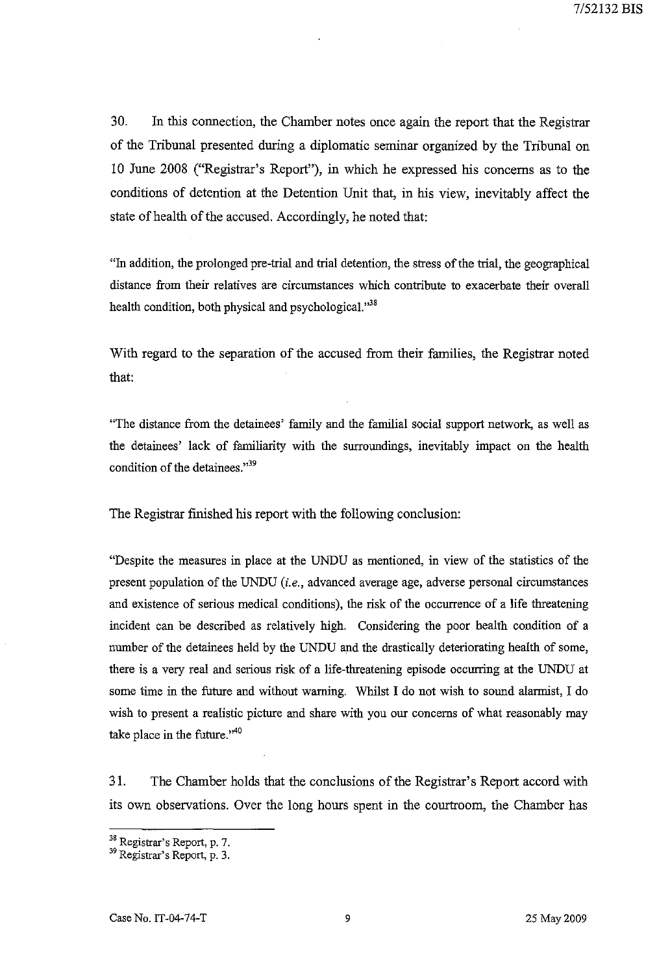30. In this connection, the Chamber notes once again the report that the Registrar of the Tribunal presented during a diplomatic seminar organized by the Tribunal on 10 June 2008 ("Registrar's Report"), in which he expressed his concerns as to the conditions of detention at the Detention Unit that, in his view, inevitably affect the state of health of the accused. Accordingly, he noted that:

"In addition, the prolonged pre-trial and trial detention, the stress of the trial, the geographical distance from their relatives are circumstances which contribute to exacerbate their overall health condition, both physical and psychological."38

With regard to the separation of the accused from their families, the Registrar noted that:

"The distance from the detainees' family and the familial social support network, as well as the detainees' lack of familiarity with the surroundings, inevitably impact on the health condition of the detainees."<sup>39</sup>

The Registrar finished his report with the following conclusion:

"Despite the measures in place at the UNDU as mentioned, in view of the statistics of the present population of the UNDU *(i.e.,* advanced average age, adverse personal circumstances and existence of serious medical conditions), the risk of the occurrence of a life threatening incident can be described as relatively high. Considering the poor health condition of a number of the detainees held by the UNDU and the drastically deteriorating health of some, there is a very real and serious risk of a life-threatening episode occurring at the UNDU at some time in the future and without warning. Whilst I do not wish to sound alarmist, I do wish to present a realistic picture and share with you our concerns of what reasonably may take place in the future." $40$ 

31. The Chamber holds that the conclusions of the Registrar'S Report accord with its own observations. Over the long hours spent in the courtroom, the Chamber has

<sup>38</sup> Registrar's Report, p. 7.

<sup>39</sup> Registrar's Report, p. 3.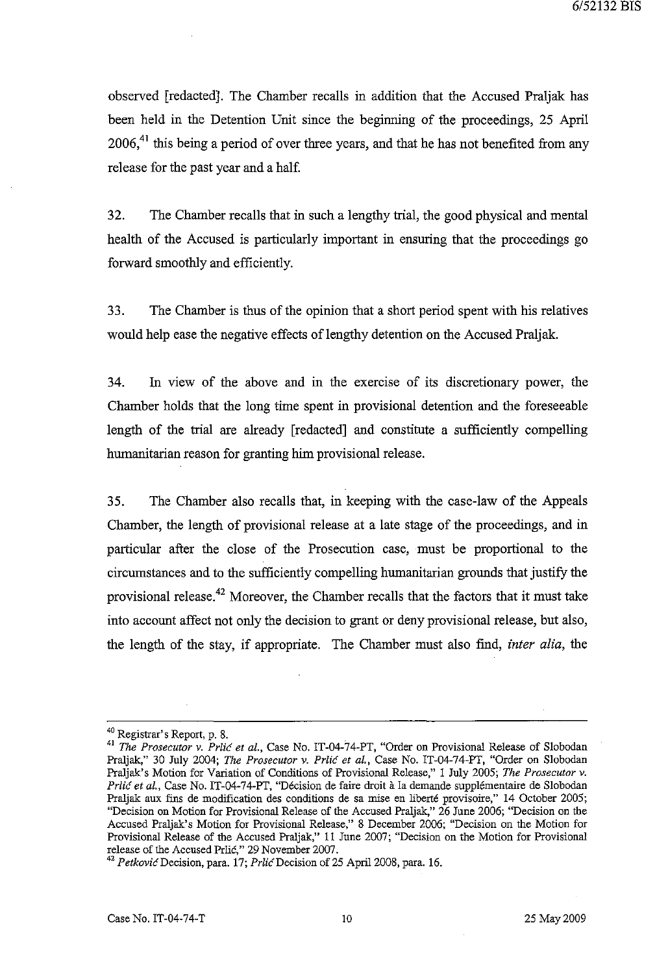observed [redacted]. The Chamber recalls in addition that the Accused Praljak has been held in the Detention Unit since the beginning of the proceedings, 25 April  $2006<sup>41</sup>$  this being a period of over three years, and that he has not benefited from any release for the past year and a half.

32. The Chamber recalls that in such a lengthy trial, the good physical and mental health of the Accused is particularly important in ensuring that the proceedings go forward smoothly and efficiently.

33. The Chamber is thus of the opinion that a short period spent with his relatives would help ease the negative effects of lengthy detention on the Accused Praljak.

34. In view of the above and in the exercise of its discretionary power, the Chamber holds that the long time spent in provisional detention and the foreseeable length of the trial are already [redacted] and constitute a sufficiently compelling humanitarian reason for granting him provisional release.

35. The Chamber also recalls that, in keeping with the case-law of the Appeals Chamber, the length of provisional release at a late stage of the proceedings, and in particular after the close of the Prosecution case, must be proportional to the circumstances and to the sufficiently compelling humanitarian grounds that justify the provisional release.42 Moreover, the Chamber recalls that the factors that it must take into account affect not only the decision to grant or deny provisional release, but also, the length of the stay, if appropriate. The Chamber must also find, *inter alia,* the

<sup>40</sup> Registrar's Report, p. 8.

<sup>41</sup>*The Prosecutor* v. *Prlic et al.,* Case No. IT-04-74-PT, "Order on Provisional Release of Slobodan Praljak," 30 July 2004; *The Prosecutor* v. *Prlic et al.,* Case No. IT-04-74-PT, "Order on Slobodan Praljak's Motion for Variation of Conditions of Provisional Release," 1 July 2005; *The Prosecutor* v. Prlic et al., Case No. IT-04-74-PT, "Décision de faire droit à la demande supplémentaire de Slobodan Praljak aux fins de modification des conditions de sa mise en liberte provisoire," 14 October 2005; "Decision on Motion for Provisional Release of the Accused Praljak," 26 June 2006; "Decision on the Accused Praljak's Motion for Provisional Release," 8 December 2006; "Decision on the Motion for Provisional Release of the Accused Praljak," 11 June 2007; "Decision on the Motion for Provisional release of the Accused Prlic," 29 November 2007.

*<sup>42</sup> PetkovicDecision,* para. 17; *PrlicDecision* of 25 April 2008, para. 16.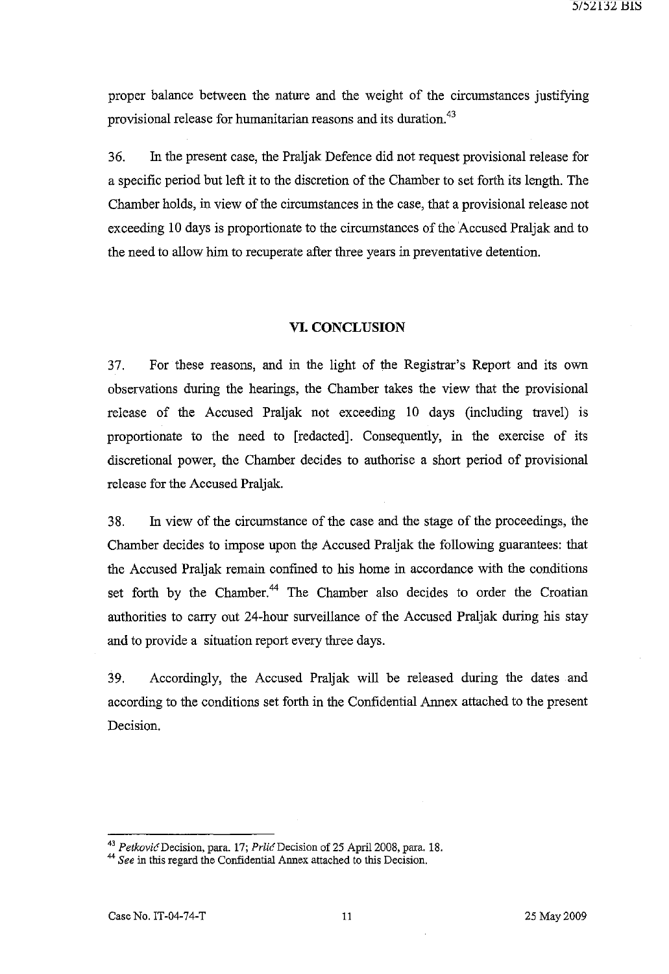proper balance between the nature and the weight of the circumstances justifying provisional release for humanitarian reasons and its duration.<sup>43</sup>

36. In the present case, the Praljak Defence did not request provisional release for a specific period but left it to the discretion of the Chamber to set forth its length. The Chamber holds, in view of the circumstances in the case, that a provisional release not exceeding 10 days is proportionate to the circumstances of the 'Accused Praljak and to the need to allow him to recuperate after three years in preventative detention.

#### **VI. CONCLUSION**

37. For these reasons, and in the light of the Registrar's Report and its own observations during the hearings, the Chamber takes the view that the provisional release of the Accused Praljak not exceeding 10 days (including travel) is proportionate to the need to [redacted]. Consequently, in the exercise of its discretional power, the Chamber decides to authorise a short period of provisional release for the Accused Praljak.

38. In view of the circumstance of the case and the stage of the proceedings, the Chamber decides to impose upon the Accused Praljak the following guarantees: that the Accused Praljak remain confmed to his home in accordance with the conditions set forth by the Chamber.<sup>44</sup> The Chamber also decides to order the Croatian authorities to carry out 24-hour surveillance of the Accused Praljak during his stay and to provide a situation report every three days.

39. Accordingly, the Accused Praljak will be released during the dates and according to the conditions set forth in the Confidential Annex attached to the present Decision.

<sup>&</sup>lt;sup>43</sup> Petković Decision, para. 17; Prlić Decision of 25 April 2008, para. 18.

<sup>&</sup>lt;sup>44</sup> See in this regard the Confidential Annex attached to this Decision.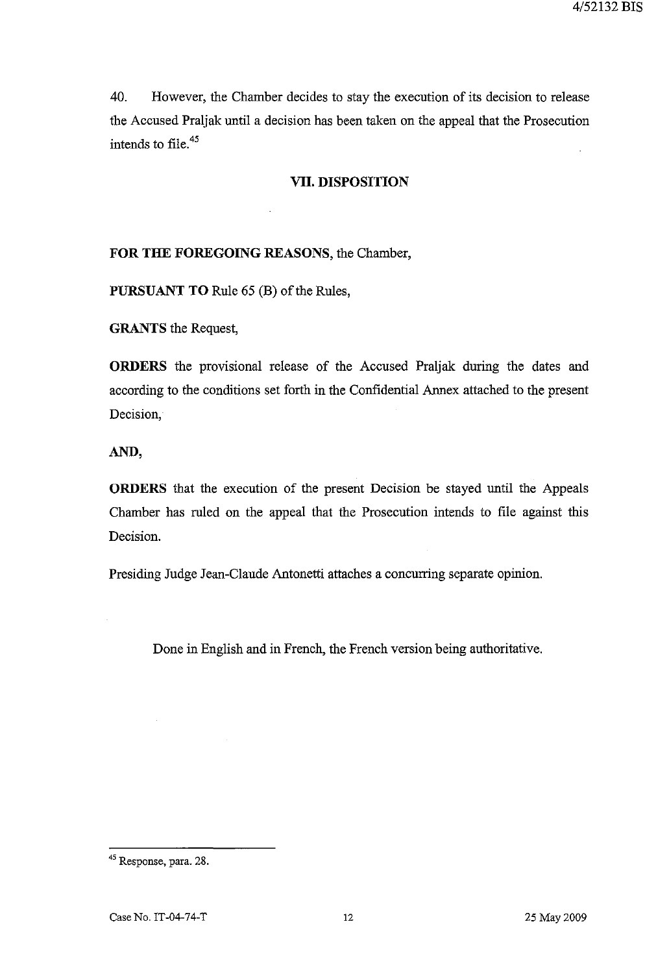40. However, the Chamber decides to stay the execution of its decision to release the Accused Praljak until a decision has been taken on the appeal that the Prosecution intends to file. <sup>45</sup>

#### **VII. DISPOSITION**

#### **FOR THE FOREGOING** REASONS, the Chamber,

**PURSUANT TO** Rule 65 (B) of the Rules,

**GRANTS** the Request,

**ORDERS** the provisional release of the Accused Praljak during the dates and according to the conditions set forth in the Confidential Annex attached to the present Decision,

**AND,** 

**ORDERS** that the execution of the present Decision be stayed until the Appeals Chamber has ruled on the appeal that the Prosecution intends to file against this Decision.

Presiding Judge Jean-Claude Antonetti attaches a concurring separate opinion.

Done in English and in French, the French version being authoritative.

<sup>45</sup> Response, para. 28.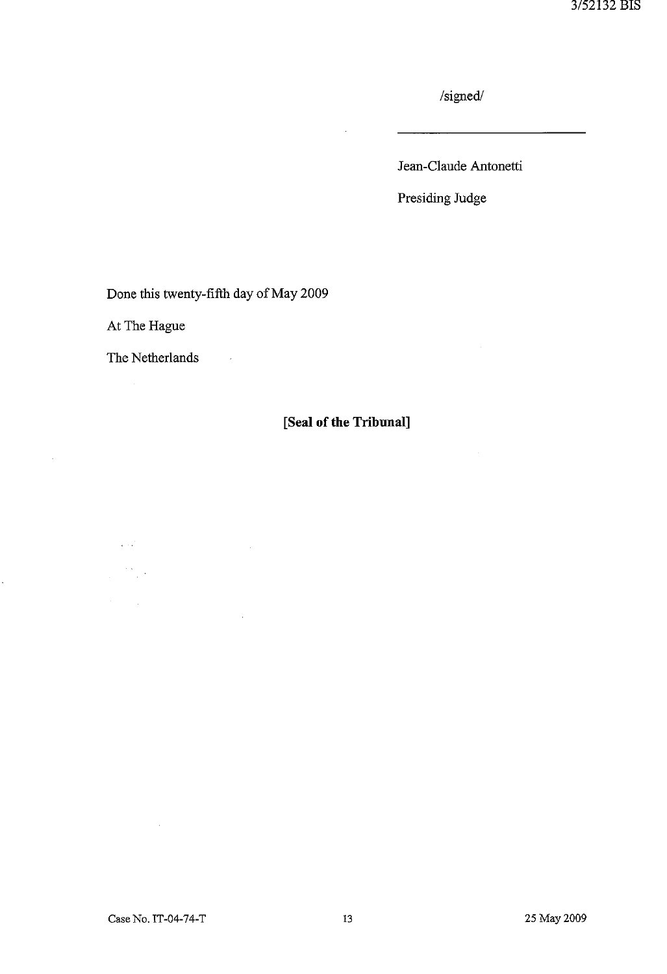$/signed/$ 

Jean-Claude Antonetti

Presiding Judge

Done this twenty-fifth day of May 2009

 $\sim 10^6$ 

At The Hague

The Netherlands

# **[Seal of the Tribunal]**

 $\sqrt{1/\tau}$  $\frac{1}{2} \sum_{i=1}^{n} \frac{1}{2} \sum_{j=1}^{n} \frac{1}{2} \sum_{j=1}^{n} \frac{1}{2} \sum_{j=1}^{n} \frac{1}{2} \sum_{j=1}^{n} \frac{1}{2} \sum_{j=1}^{n} \frac{1}{2} \sum_{j=1}^{n} \frac{1}{2} \sum_{j=1}^{n} \frac{1}{2} \sum_{j=1}^{n} \frac{1}{2} \sum_{j=1}^{n} \frac{1}{2} \sum_{j=1}^{n} \frac{1}{2} \sum_{j=1}^{n} \frac{1}{2} \sum_{j=1}^{n$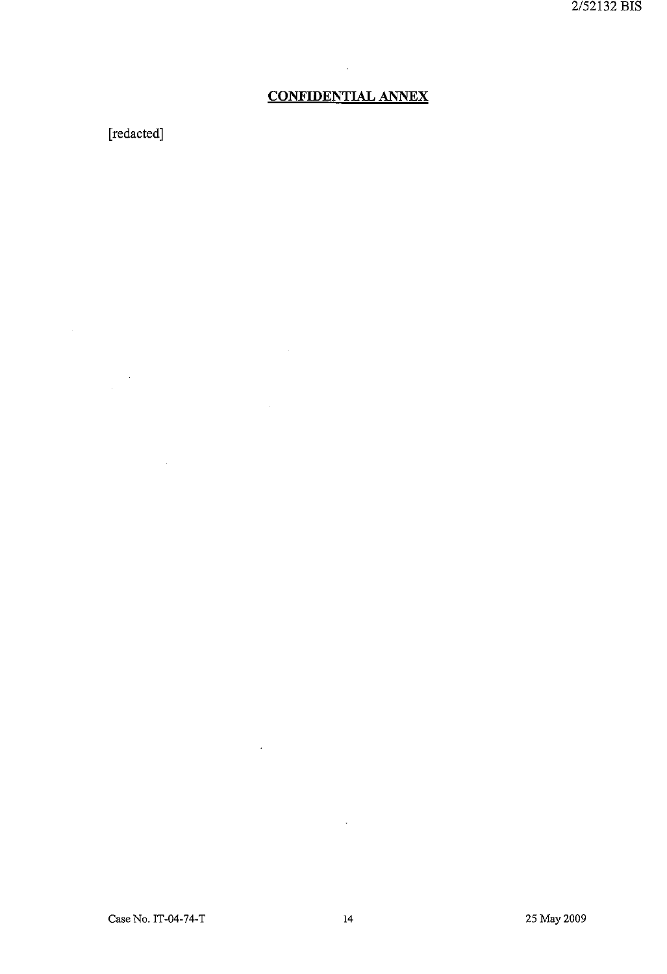## **CONFIDENTIAL ANNEX**

÷.

 $\Delta \sim$ 

 $\ddot{\phantom{a}}$ 

# **[redacted]**

 $\sim 10^{-1}$ 

Case No. IT-04-74-T 14 25 May 2009

 $\sim 10^{-10}$